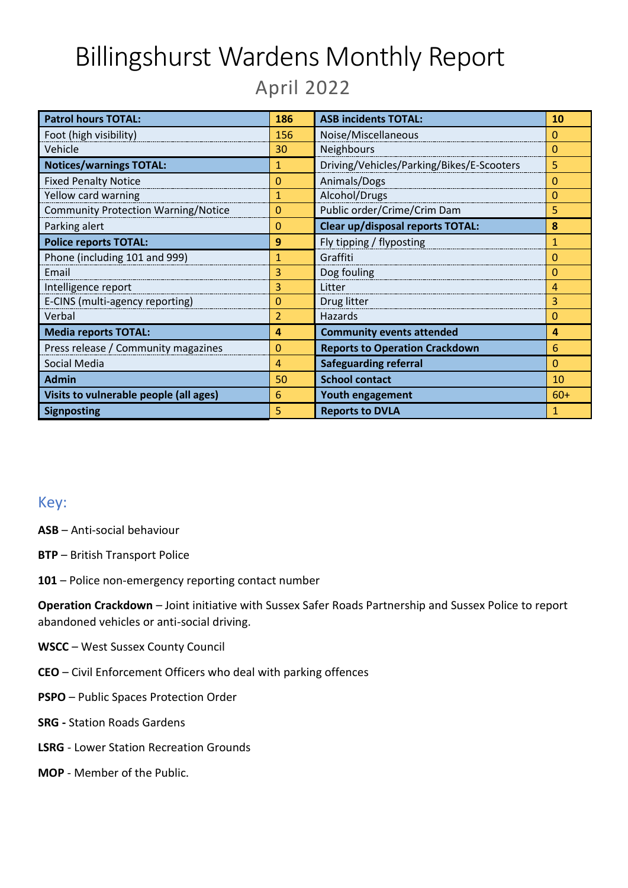# Billingshurst Wardens Monthly Report April 2022

| <b>Patrol hours TOTAL:</b>                 | 186            | <b>ASB incidents TOTAL:</b>               | <b>10</b> |
|--------------------------------------------|----------------|-------------------------------------------|-----------|
| Foot (high visibility)                     | 156            | Noise/Miscellaneous                       | $\Omega$  |
| Vehicle                                    | 30             | Neighbours                                | $\Omega$  |
| <b>Notices/warnings TOTAL:</b>             | 1              | Driving/Vehicles/Parking/Bikes/E-Scooters | 5         |
| <b>Fixed Penalty Notice</b>                | 0              | Animals/Dogs                              | 0         |
| Yellow card warning                        | 1              | Alcohol/Drugs                             | $\Omega$  |
| <b>Community Protection Warning/Notice</b> | $\overline{0}$ | Public order/Crime/Crim Dam               | 5         |
| Parking alert                              | $\Omega$       | <b>Clear up/disposal reports TOTAL:</b>   | 8         |
| <b>Police reports TOTAL:</b>               | 9              | Fly tipping / flyposting                  | 1         |
| Phone (including 101 and 999)              | 1              | Graffiti                                  | $\Omega$  |
| Email                                      | 3              | Dog fouling                               | $\Omega$  |
| Intelligence report                        | 3              | Litter                                    | 4         |
| E-CINS (multi-agency reporting)            | 0              | Drug litter                               | 3         |
| Verbal                                     | 2              | Hazards                                   | $\Omega$  |
| <b>Media reports TOTAL:</b>                | 4              | <b>Community events attended</b>          | 4         |
| Press release / Community magazines        | $\mathbf 0$    | <b>Reports to Operation Crackdown</b>     | 6         |
| Social Media                               | 4              | <b>Safeguarding referral</b>              | $\Omega$  |
| <b>Admin</b>                               | 50             | <b>School contact</b>                     | 10        |
| Visits to vulnerable people (all ages)     | 6              | <b>Youth engagement</b>                   | $60+$     |
| <b>Signposting</b>                         | 5              | <b>Reports to DVLA</b>                    | 1         |

#### Key:

**ASB** – Anti-social behaviour

- **BTP**  British Transport Police
- **101**  Police non-emergency reporting contact number

**Operation Crackdown** – Joint initiative with Sussex Safer Roads Partnership and Sussex Police to report abandoned vehicles or anti-social driving.

- **WSCC** West Sussex County Council
- **CEO**  Civil Enforcement Officers who deal with parking offences
- **PSPO**  Public Spaces Protection Order
- **SRG -** Station Roads Gardens
- **LSRG** Lower Station Recreation Grounds
- **MOP** Member of the Public.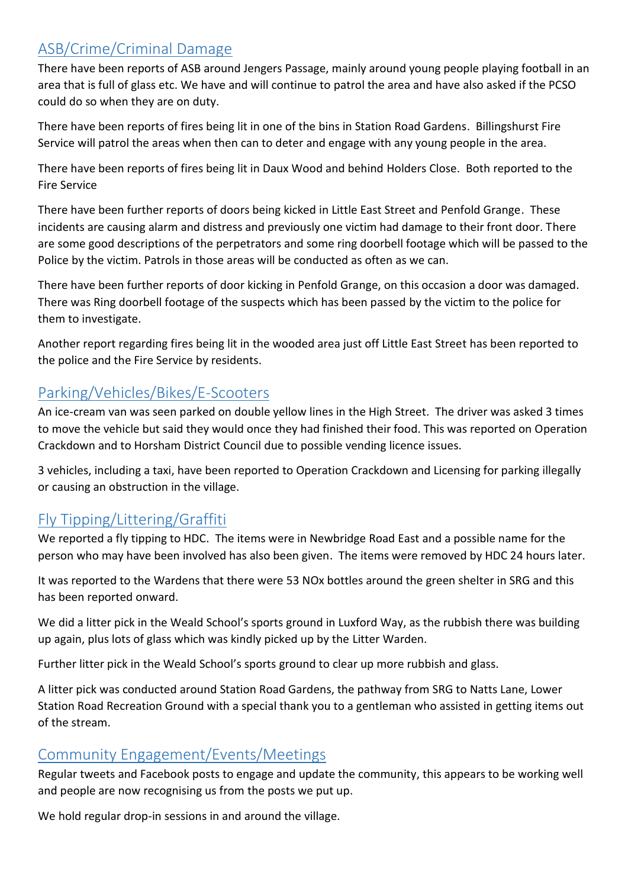# ASB/Crime/Criminal Damage

There have been reports of ASB around Jengers Passage, mainly around young people playing football in an area that is full of glass etc. We have and will continue to patrol the area and have also asked if the PCSO could do so when they are on duty.

There have been reports of fires being lit in one of the bins in Station Road Gardens. Billingshurst Fire Service will patrol the areas when then can to deter and engage with any young people in the area.

There have been reports of fires being lit in Daux Wood and behind Holders Close. Both reported to the Fire Service

There have been further reports of doors being kicked in Little East Street and Penfold Grange. These incidents are causing alarm and distress and previously one victim had damage to their front door. There are some good descriptions of the perpetrators and some ring doorbell footage which will be passed to the Police by the victim. Patrols in those areas will be conducted as often as we can.

There have been further reports of door kicking in Penfold Grange, on this occasion a door was damaged. There was Ring doorbell footage of the suspects which has been passed by the victim to the police for them to investigate.

Another report regarding fires being lit in the wooded area just off Little East Street has been reported to the police and the Fire Service by residents.

## Parking/Vehicles/Bikes/E-Scooters

An ice-cream van was seen parked on double yellow lines in the High Street. The driver was asked 3 times to move the vehicle but said they would once they had finished their food. This was reported on Operation Crackdown and to Horsham District Council due to possible vending licence issues.

3 vehicles, including a taxi, have been reported to Operation Crackdown and Licensing for parking illegally or causing an obstruction in the village.

# Fly Tipping/Littering/Graffiti

We reported a fly tipping to HDC. The items were in Newbridge Road East and a possible name for the person who may have been involved has also been given. The items were removed by HDC 24 hours later.

It was reported to the Wardens that there were 53 NOx bottles around the green shelter in SRG and this has been reported onward.

We did a litter pick in the Weald School's sports ground in Luxford Way, as the rubbish there was building up again, plus lots of glass which was kindly picked up by the Litter Warden.

Further litter pick in the Weald School's sports ground to clear up more rubbish and glass.

A litter pick was conducted around Station Road Gardens, the pathway from SRG to Natts Lane, Lower Station Road Recreation Ground with a special thank you to a gentleman who assisted in getting items out of the stream.

## Community Engagement/Events/Meetings

Regular tweets and Facebook posts to engage and update the community, this appears to be working well and people are now recognising us from the posts we put up.

We hold regular drop-in sessions in and around the village.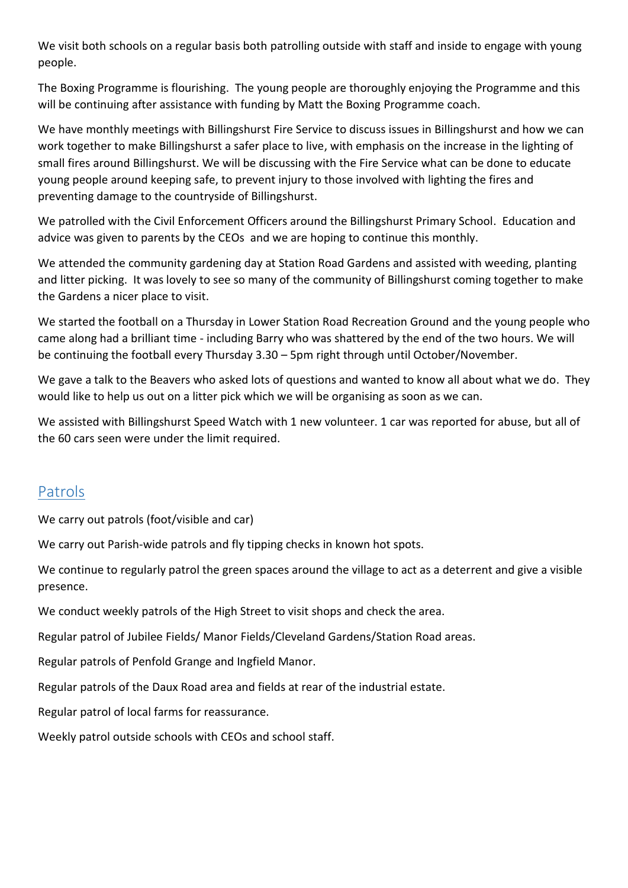We visit both schools on a regular basis both patrolling outside with staff and inside to engage with young people.

The Boxing Programme is flourishing. The young people are thoroughly enjoying the Programme and this will be continuing after assistance with funding by Matt the Boxing Programme coach.

We have monthly meetings with Billingshurst Fire Service to discuss issues in Billingshurst and how we can work together to make Billingshurst a safer place to live, with emphasis on the increase in the lighting of small fires around Billingshurst. We will be discussing with the Fire Service what can be done to educate young people around keeping safe, to prevent injury to those involved with lighting the fires and preventing damage to the countryside of Billingshurst.

We patrolled with the Civil Enforcement Officers around the Billingshurst Primary School. Education and advice was given to parents by the CEOs and we are hoping to continue this monthly.

We attended the community gardening day at Station Road Gardens and assisted with weeding, planting and litter picking. It was lovely to see so many of the community of Billingshurst coming together to make the Gardens a nicer place to visit.

We started the football on a Thursday in Lower Station Road Recreation Ground and the young people who came along had a brilliant time - including Barry who was shattered by the end of the two hours. We will be continuing the football every Thursday 3.30 – 5pm right through until October/November.

We gave a talk to the Beavers who asked lots of questions and wanted to know all about what we do. They would like to help us out on a litter pick which we will be organising as soon as we can.

We assisted with Billingshurst Speed Watch with 1 new volunteer. 1 car was reported for abuse, but all of the 60 cars seen were under the limit required.

# Patrols

We carry out patrols (foot/visible and car)

We carry out Parish-wide patrols and fly tipping checks in known hot spots.

We continue to regularly patrol the green spaces around the village to act as a deterrent and give a visible presence.

We conduct weekly patrols of the High Street to visit shops and check the area.

Regular patrol of Jubilee Fields/ Manor Fields/Cleveland Gardens/Station Road areas.

Regular patrols of Penfold Grange and Ingfield Manor.

Regular patrols of the Daux Road area and fields at rear of the industrial estate.

Regular patrol of local farms for reassurance.

Weekly patrol outside schools with CEOs and school staff.